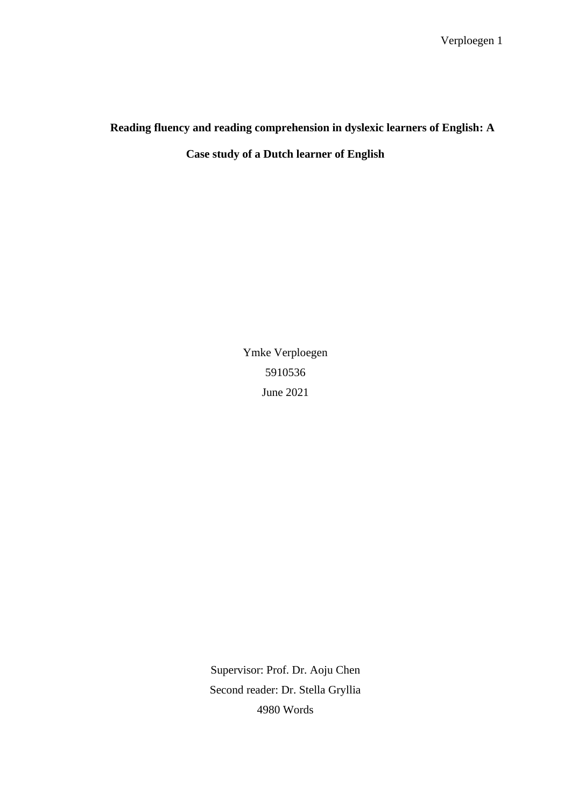## **Reading fluency and reading comprehension in dyslexic learners of English: A**

**Case study of a Dutch learner of English**

Ymke Verploegen 5910536 June 2021

Supervisor: Prof. Dr. Aoju Chen Second reader: Dr. Stella Gryllia 4980 Words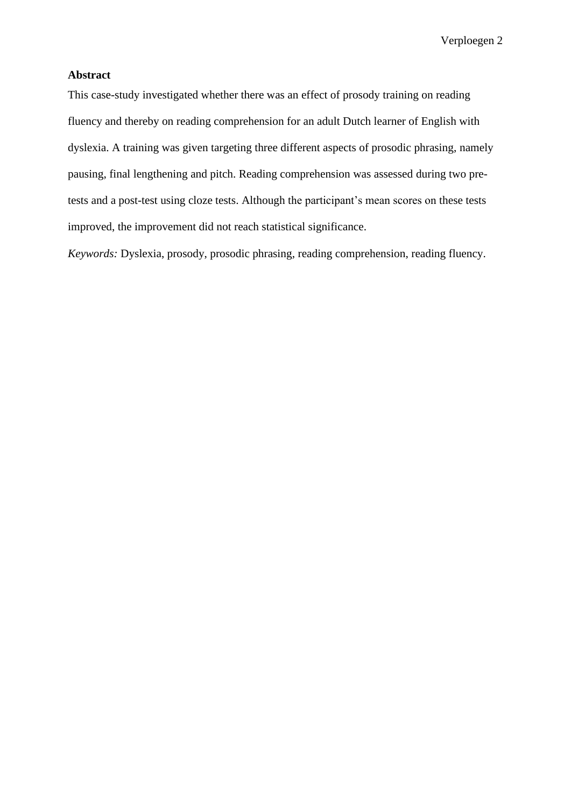## **Abstract**

This case-study investigated whether there was an effect of prosody training on reading fluency and thereby on reading comprehension for an adult Dutch learner of English with dyslexia. A training was given targeting three different aspects of prosodic phrasing, namely pausing, final lengthening and pitch. Reading comprehension was assessed during two pretests and a post-test using cloze tests. Although the participant's mean scores on these tests improved, the improvement did not reach statistical significance.

*Keywords:* Dyslexia, prosody, prosodic phrasing, reading comprehension, reading fluency.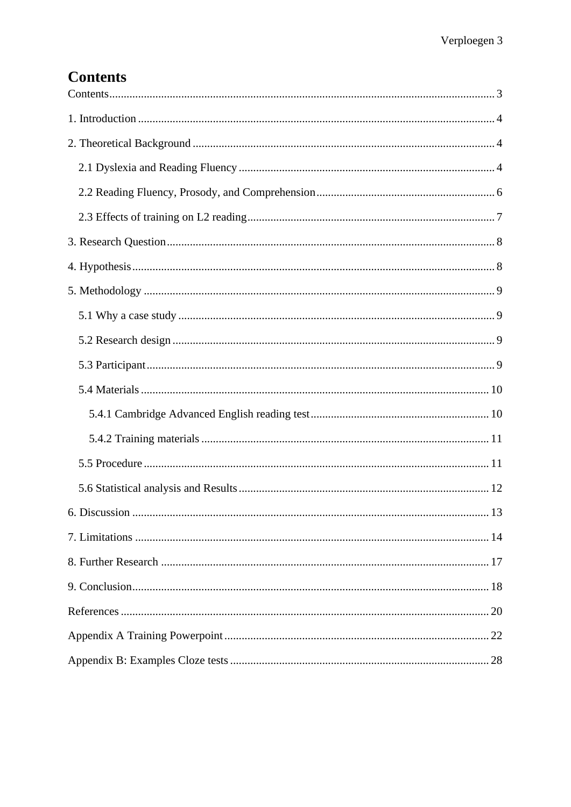## <span id="page-2-0"></span>**Contents**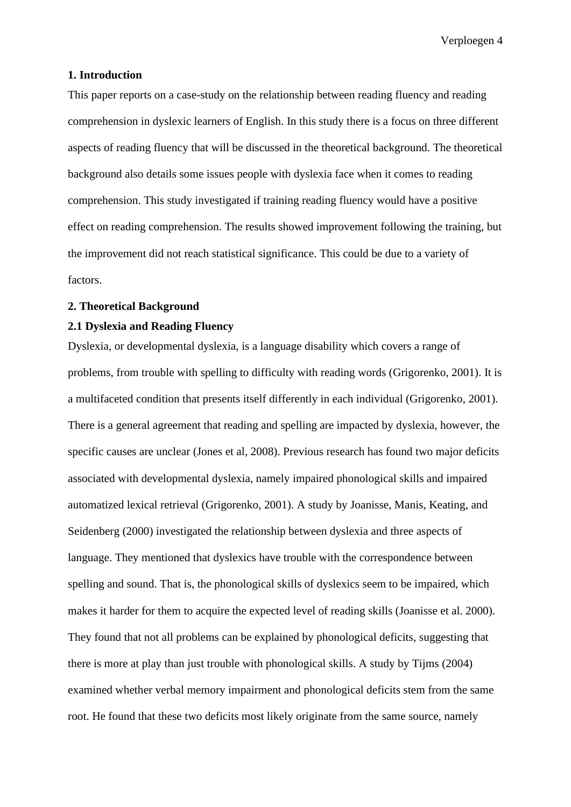### <span id="page-3-0"></span>**1. Introduction**

This paper reports on a case-study on the relationship between reading fluency and reading comprehension in dyslexic learners of English. In this study there is a focus on three different aspects of reading fluency that will be discussed in the theoretical background. The theoretical background also details some issues people with dyslexia face when it comes to reading comprehension. This study investigated if training reading fluency would have a positive effect on reading comprehension. The results showed improvement following the training, but the improvement did not reach statistical significance. This could be due to a variety of factors.

#### <span id="page-3-1"></span>**2. Theoretical Background**

#### <span id="page-3-2"></span>**2.1 Dyslexia and Reading Fluency**

Dyslexia, or developmental dyslexia, is a language disability which covers a range of problems, from trouble with spelling to difficulty with reading words (Grigorenko, 2001). It is a multifaceted condition that presents itself differently in each individual (Grigorenko, 2001). There is a general agreement that reading and spelling are impacted by dyslexia, however, the specific causes are unclear (Jones et al, 2008). Previous research has found two major deficits associated with developmental dyslexia, namely impaired phonological skills and impaired automatized lexical retrieval (Grigorenko, 2001). A study by Joanisse, Manis, Keating, and Seidenberg (2000) investigated the relationship between dyslexia and three aspects of language. They mentioned that dyslexics have trouble with the correspondence between spelling and sound. That is, the phonological skills of dyslexics seem to be impaired, which makes it harder for them to acquire the expected level of reading skills (Joanisse et al. 2000). They found that not all problems can be explained by phonological deficits, suggesting that there is more at play than just trouble with phonological skills. A study by Tijms (2004) examined whether verbal memory impairment and phonological deficits stem from the same root. He found that these two deficits most likely originate from the same source, namely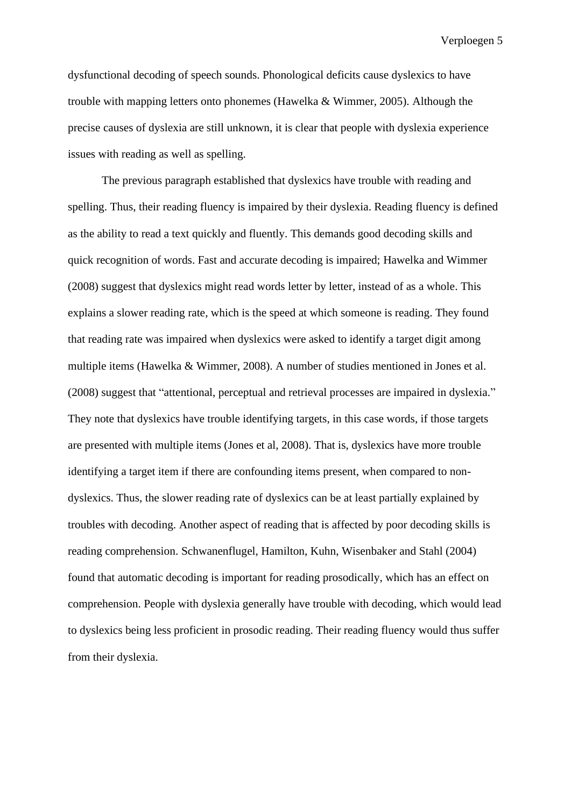dysfunctional decoding of speech sounds. Phonological deficits cause dyslexics to have trouble with mapping letters onto phonemes (Hawelka & Wimmer, 2005). Although the precise causes of dyslexia are still unknown, it is clear that people with dyslexia experience issues with reading as well as spelling.

The previous paragraph established that dyslexics have trouble with reading and spelling. Thus, their reading fluency is impaired by their dyslexia. Reading fluency is defined as the ability to read a text quickly and fluently. This demands good decoding skills and quick recognition of words. Fast and accurate decoding is impaired; Hawelka and Wimmer (2008) suggest that dyslexics might read words letter by letter, instead of as a whole. This explains a slower reading rate, which is the speed at which someone is reading. They found that reading rate was impaired when dyslexics were asked to identify a target digit among multiple items (Hawelka & Wimmer, 2008). A number of studies mentioned in Jones et al. (2008) suggest that "attentional, perceptual and retrieval processes are impaired in dyslexia." They note that dyslexics have trouble identifying targets, in this case words, if those targets are presented with multiple items (Jones et al, 2008). That is, dyslexics have more trouble identifying a target item if there are confounding items present, when compared to nondyslexics. Thus, the slower reading rate of dyslexics can be at least partially explained by troubles with decoding. Another aspect of reading that is affected by poor decoding skills is reading comprehension. Schwanenflugel, Hamilton, Kuhn, Wisenbaker and Stahl (2004) found that automatic decoding is important for reading prosodically, which has an effect on comprehension. People with dyslexia generally have trouble with decoding, which would lead to dyslexics being less proficient in prosodic reading. Their reading fluency would thus suffer from their dyslexia.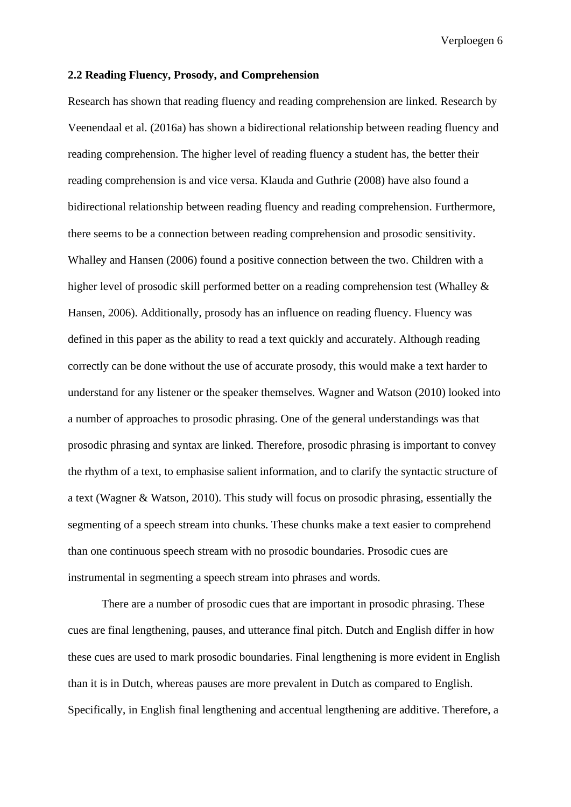### <span id="page-5-0"></span>**2.2 Reading Fluency, Prosody, and Comprehension**

Research has shown that reading fluency and reading comprehension are linked. Research by Veenendaal et al. (2016a) has shown a bidirectional relationship between reading fluency and reading comprehension. The higher level of reading fluency a student has, the better their reading comprehension is and vice versa. Klauda and Guthrie (2008) have also found a bidirectional relationship between reading fluency and reading comprehension. Furthermore, there seems to be a connection between reading comprehension and prosodic sensitivity. Whalley and Hansen (2006) found a positive connection between the two. Children with a higher level of prosodic skill performed better on a reading comprehension test (Whalley & Hansen, 2006). Additionally, prosody has an influence on reading fluency. Fluency was defined in this paper as the ability to read a text quickly and accurately. Although reading correctly can be done without the use of accurate prosody, this would make a text harder to understand for any listener or the speaker themselves. Wagner and Watson (2010) looked into a number of approaches to prosodic phrasing. One of the general understandings was that prosodic phrasing and syntax are linked. Therefore, prosodic phrasing is important to convey the rhythm of a text, to emphasise salient information, and to clarify the syntactic structure of a text (Wagner & Watson, 2010). This study will focus on prosodic phrasing, essentially the segmenting of a speech stream into chunks. These chunks make a text easier to comprehend than one continuous speech stream with no prosodic boundaries. Prosodic cues are instrumental in segmenting a speech stream into phrases and words.

There are a number of prosodic cues that are important in prosodic phrasing. These cues are final lengthening, pauses, and utterance final pitch. Dutch and English differ in how these cues are used to mark prosodic boundaries. Final lengthening is more evident in English than it is in Dutch, whereas pauses are more prevalent in Dutch as compared to English. Specifically, in English final lengthening and accentual lengthening are additive. Therefore, a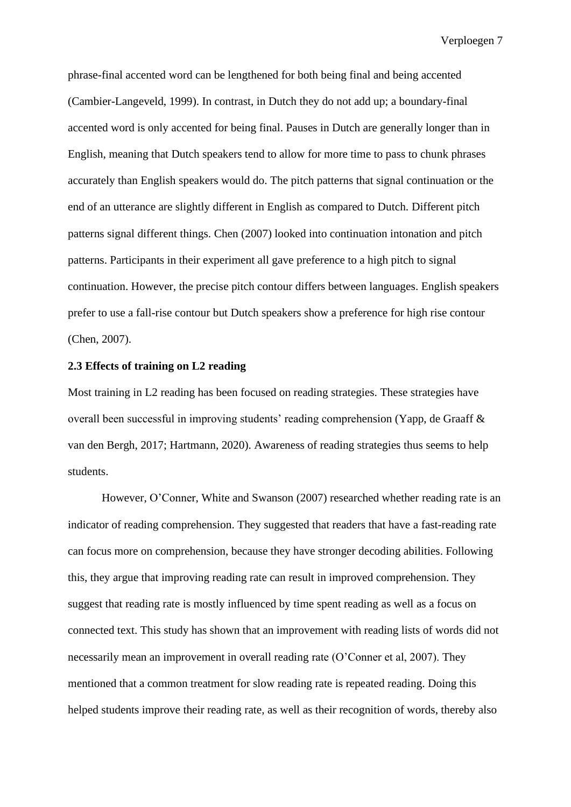phrase-final accented word can be lengthened for both being final and being accented (Cambier-Langeveld, 1999). In contrast, in Dutch they do not add up; a boundary-final accented word is only accented for being final. Pauses in Dutch are generally longer than in English, meaning that Dutch speakers tend to allow for more time to pass to chunk phrases accurately than English speakers would do. The pitch patterns that signal continuation or the end of an utterance are slightly different in English as compared to Dutch. Different pitch patterns signal different things. Chen (2007) looked into continuation intonation and pitch patterns. Participants in their experiment all gave preference to a high pitch to signal continuation. However, the precise pitch contour differs between languages. English speakers prefer to use a fall-rise contour but Dutch speakers show a preference for high rise contour (Chen, 2007).

### <span id="page-6-0"></span>**2.3 Effects of training on L2 reading**

Most training in L2 reading has been focused on reading strategies. These strategies have overall been successful in improving students' reading comprehension (Yapp, de Graaff & van den Bergh, 2017; Hartmann, 2020). Awareness of reading strategies thus seems to help students.

However, O'Conner, White and Swanson (2007) researched whether reading rate is an indicator of reading comprehension. They suggested that readers that have a fast-reading rate can focus more on comprehension, because they have stronger decoding abilities. Following this, they argue that improving reading rate can result in improved comprehension. They suggest that reading rate is mostly influenced by time spent reading as well as a focus on connected text. This study has shown that an improvement with reading lists of words did not necessarily mean an improvement in overall reading rate (O'Conner et al, 2007). They mentioned that a common treatment for slow reading rate is repeated reading. Doing this helped students improve their reading rate, as well as their recognition of words, thereby also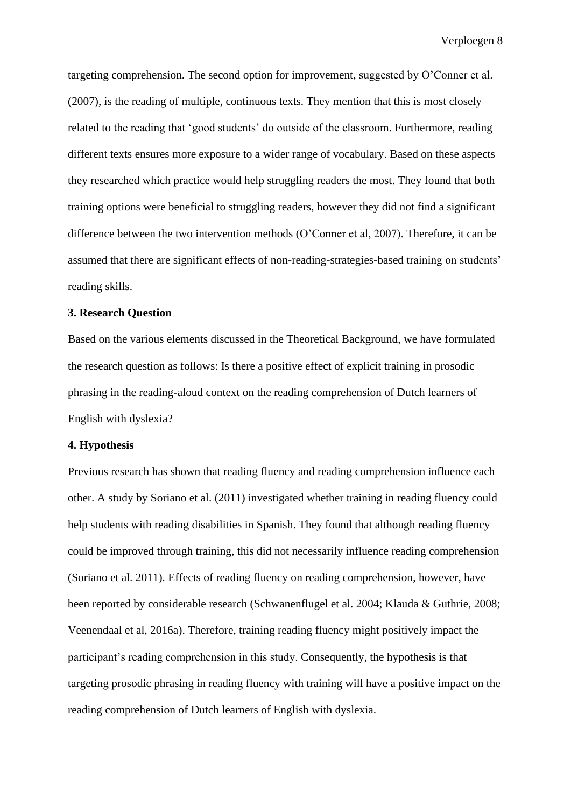targeting comprehension. The second option for improvement, suggested by O'Conner et al. (2007), is the reading of multiple, continuous texts. They mention that this is most closely related to the reading that 'good students' do outside of the classroom. Furthermore, reading different texts ensures more exposure to a wider range of vocabulary. Based on these aspects they researched which practice would help struggling readers the most. They found that both training options were beneficial to struggling readers, however they did not find a significant difference between the two intervention methods (O'Conner et al, 2007). Therefore, it can be assumed that there are significant effects of non-reading-strategies-based training on students' reading skills.

## <span id="page-7-0"></span>**3. Research Question**

Based on the various elements discussed in the Theoretical Background, we have formulated the research question as follows: Is there a positive effect of explicit training in prosodic phrasing in the reading-aloud context on the reading comprehension of Dutch learners of English with dyslexia?

## <span id="page-7-1"></span>**4. Hypothesis**

Previous research has shown that reading fluency and reading comprehension influence each other. A study by Soriano et al. (2011) investigated whether training in reading fluency could help students with reading disabilities in Spanish. They found that although reading fluency could be improved through training, this did not necessarily influence reading comprehension (Soriano et al. 2011). Effects of reading fluency on reading comprehension, however, have been reported by considerable research (Schwanenflugel et al. 2004; Klauda & Guthrie, 2008; Veenendaal et al, 2016a). Therefore, training reading fluency might positively impact the participant's reading comprehension in this study. Consequently, the hypothesis is that targeting prosodic phrasing in reading fluency with training will have a positive impact on the reading comprehension of Dutch learners of English with dyslexia.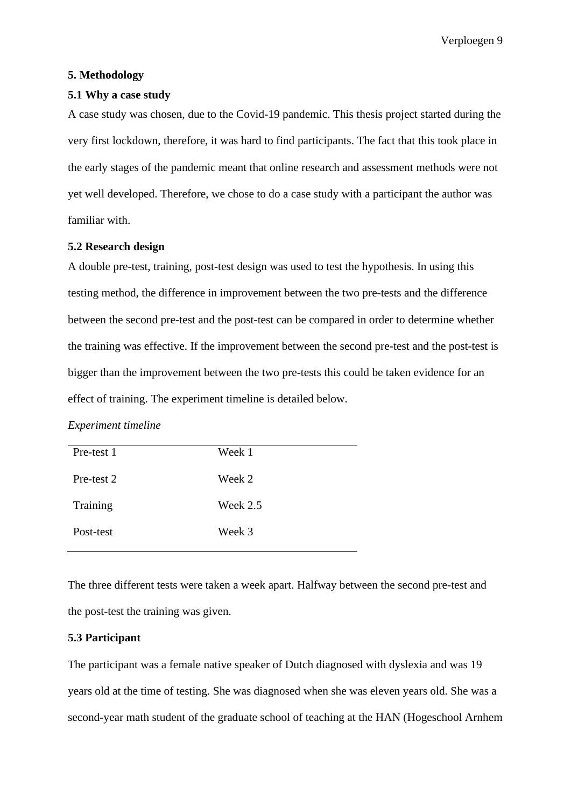### <span id="page-8-0"></span>**5. Methodology**

### <span id="page-8-1"></span>**5.1 Why a case study**

A case study was chosen, due to the Covid-19 pandemic. This thesis project started during the very first lockdown, therefore, it was hard to find participants. The fact that this took place in the early stages of the pandemic meant that online research and assessment methods were not yet well developed. Therefore, we chose to do a case study with a participant the author was familiar with.

### <span id="page-8-2"></span>**5.2 Research design**

A double pre-test, training, post-test design was used to test the hypothesis. In using this testing method, the difference in improvement between the two pre-tests and the difference between the second pre-test and the post-test can be compared in order to determine whether the training was effective. If the improvement between the second pre-test and the post-test is bigger than the improvement between the two pre-tests this could be taken evidence for an effect of training. The experiment timeline is detailed below.

#### *Experiment timeline*

| Week 1   |
|----------|
| Week 2   |
| Week 2.5 |
| Week 3   |
|          |

The three different tests were taken a week apart. Halfway between the second pre-test and the post-test the training was given.

### <span id="page-8-3"></span>**5.3 Participant**

The participant was a female native speaker of Dutch diagnosed with dyslexia and was 19 years old at the time of testing. She was diagnosed when she was eleven years old. She was a second-year math student of the graduate school of teaching at the HAN (Hogeschool Arnhem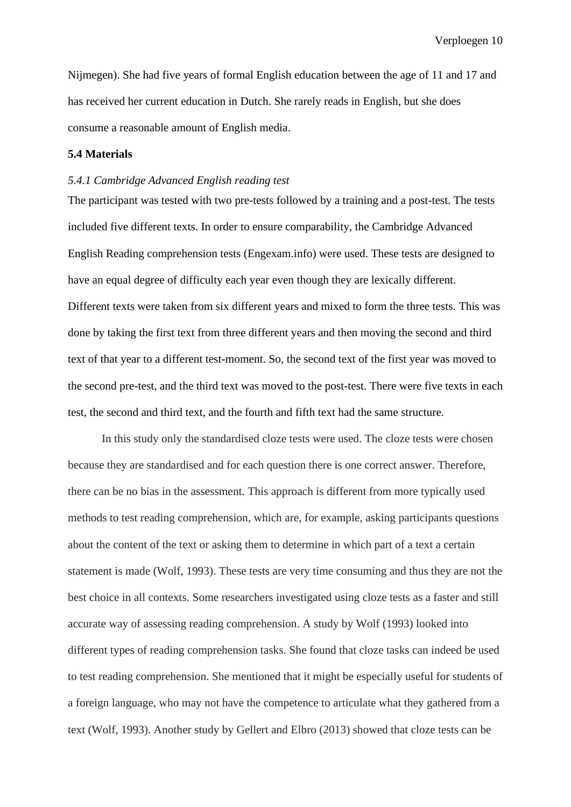Nijmegen). She had five years of formal English education between the age of 11 and 17 and has received her current education in Dutch. She rarely reads in English, but she does consume a reasonable amount of English media.

## <span id="page-9-0"></span>**5.4 Materials**

### <span id="page-9-1"></span>*5.4.1 Cambridge Advanced English reading test*

The participant was tested with two pre-tests followed by a training and a post-test. The tests included five different texts. In order to ensure comparability, the Cambridge Advanced English Reading comprehension tests (Engexam.info) were used. These tests are designed to have an equal degree of difficulty each year even though they are lexically different. Different texts were taken from six different years and mixed to form the three tests. This was done by taking the first text from three different years and then moving the second and third text of that year to a different test-moment. So, the second text of the first year was moved to the second pre-test, and the third text was moved to the post-test. There were five texts in each test, the second and third text, and the fourth and fifth text had the same structure.

In this study only the standardised cloze tests were used. The cloze tests were chosen because they are standardised and for each question there is one correct answer. Therefore, there can be no bias in the assessment. This approach is different from more typically used methods to test reading comprehension, which are, for example, asking participants questions about the content of the text or asking them to determine in which part of a text a certain statement is made (Wolf, 1993). These tests are very time consuming and thus they are not the best choice in all contexts. Some researchers investigated using cloze tests as a faster and still accurate way of assessing reading comprehension. A study by Wolf (1993) looked into different types of reading comprehension tasks. She found that cloze tasks can indeed be used to test reading comprehension. She mentioned that it might be especially useful for students of a foreign language, who may not have the competence to articulate what they gathered from a text (Wolf, 1993). Another study by Gellert and Elbro (2013) showed that cloze tests can be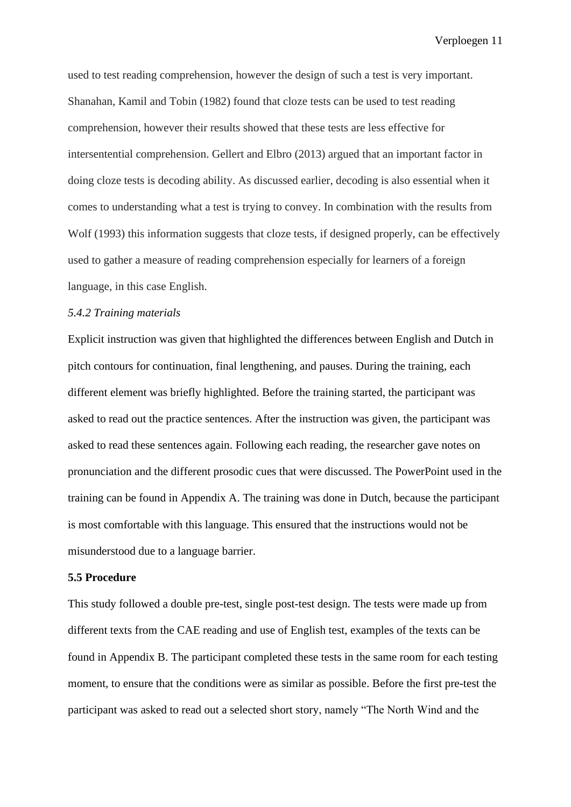used to test reading comprehension, however the design of such a test is very important. Shanahan, Kamil and Tobin (1982) found that cloze tests can be used to test reading comprehension, however their results showed that these tests are less effective for intersentential comprehension. Gellert and Elbro (2013) argued that an important factor in doing cloze tests is decoding ability. As discussed earlier, decoding is also essential when it comes to understanding what a test is trying to convey. In combination with the results from Wolf (1993) this information suggests that cloze tests, if designed properly, can be effectively used to gather a measure of reading comprehension especially for learners of a foreign language, in this case English.

## <span id="page-10-0"></span>*5.4.2 Training materials*

Explicit instruction was given that highlighted the differences between English and Dutch in pitch contours for continuation, final lengthening, and pauses. During the training, each different element was briefly highlighted. Before the training started, the participant was asked to read out the practice sentences. After the instruction was given, the participant was asked to read these sentences again. Following each reading, the researcher gave notes on pronunciation and the different prosodic cues that were discussed. The PowerPoint used in the training can be found in Appendix A. The training was done in Dutch, because the participant is most comfortable with this language. This ensured that the instructions would not be misunderstood due to a language barrier.

### <span id="page-10-1"></span>**5.5 Procedure**

This study followed a double pre-test, single post-test design. The tests were made up from different texts from the CAE reading and use of English test, examples of the texts can be found in Appendix B. The participant completed these tests in the same room for each testing moment, to ensure that the conditions were as similar as possible. Before the first pre-test the participant was asked to read out a selected short story, namely "The North Wind and the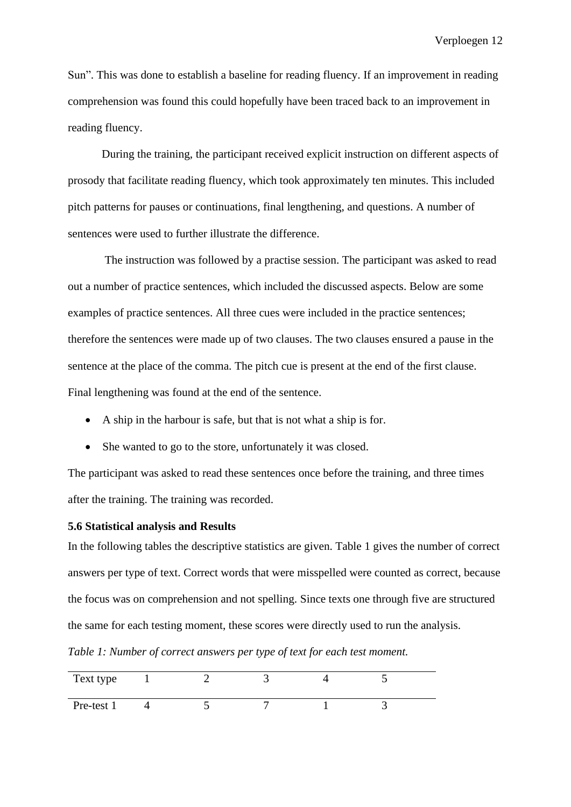Sun". This was done to establish a baseline for reading fluency. If an improvement in reading comprehension was found this could hopefully have been traced back to an improvement in reading fluency.

During the training, the participant received explicit instruction on different aspects of prosody that facilitate reading fluency, which took approximately ten minutes. This included pitch patterns for pauses or continuations, final lengthening, and questions. A number of sentences were used to further illustrate the difference.

The instruction was followed by a practise session. The participant was asked to read out a number of practice sentences, which included the discussed aspects. Below are some examples of practice sentences. All three cues were included in the practice sentences; therefore the sentences were made up of two clauses. The two clauses ensured a pause in the sentence at the place of the comma. The pitch cue is present at the end of the first clause. Final lengthening was found at the end of the sentence.

- A ship in the harbour is safe, but that is not what a ship is for.
- She wanted to go to the store, unfortunately it was closed.

The participant was asked to read these sentences once before the training, and three times after the training. The training was recorded.

### <span id="page-11-0"></span>**5.6 Statistical analysis and Results**

In the following tables the descriptive statistics are given. Table 1 gives the number of correct answers per type of text. Correct words that were misspelled were counted as correct, because the focus was on comprehension and not spelling. Since texts one through five are structured the same for each testing moment, these scores were directly used to run the analysis.

*Table 1: Number of correct answers per type of text for each test moment.*

| Text type  |  |  |  |
|------------|--|--|--|
| Pre-test 1 |  |  |  |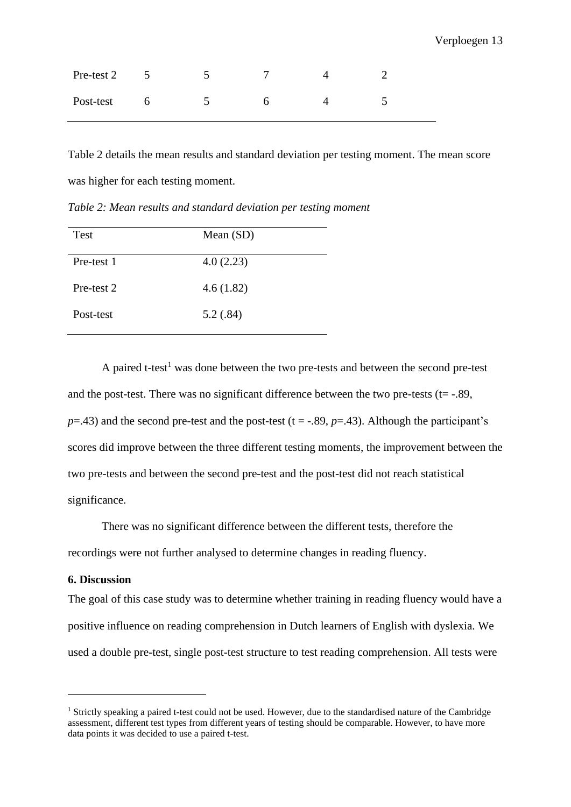| Pre-test 2 |  |  |  |
|------------|--|--|--|
| Post-test  |  |  |  |

Table 2 details the mean results and standard deviation per testing moment. The mean score was higher for each testing moment.

*Table 2: Mean results and standard deviation per testing moment*

| Test       | Mean $(SD)$ |
|------------|-------------|
| Pre-test 1 | 4.0(2.23)   |
| Pre-test 2 | 4.6(1.82)   |
| Post-test  | 5.2(.84)    |

A paired t-test<sup>1</sup> was done between the two pre-tests and between the second pre-test and the post-test. There was no significant difference between the two pre-tests ( $t = -0.89$ ,  $p=$ .43) and the second pre-test and the post-test (t = -.89,  $p=$ .43). Although the participant's scores did improve between the three different testing moments, the improvement between the two pre-tests and between the second pre-test and the post-test did not reach statistical significance.

There was no significant difference between the different tests, therefore the recordings were not further analysed to determine changes in reading fluency.

### <span id="page-12-0"></span>**6. Discussion**

The goal of this case study was to determine whether training in reading fluency would have a positive influence on reading comprehension in Dutch learners of English with dyslexia. We used a double pre-test, single post-test structure to test reading comprehension. All tests were

<sup>&</sup>lt;sup>1</sup> Strictly speaking a paired t-test could not be used. However, due to the standardised nature of the Cambridge assessment, different test types from different years of testing should be comparable. However, to have more data points it was decided to use a paired t-test.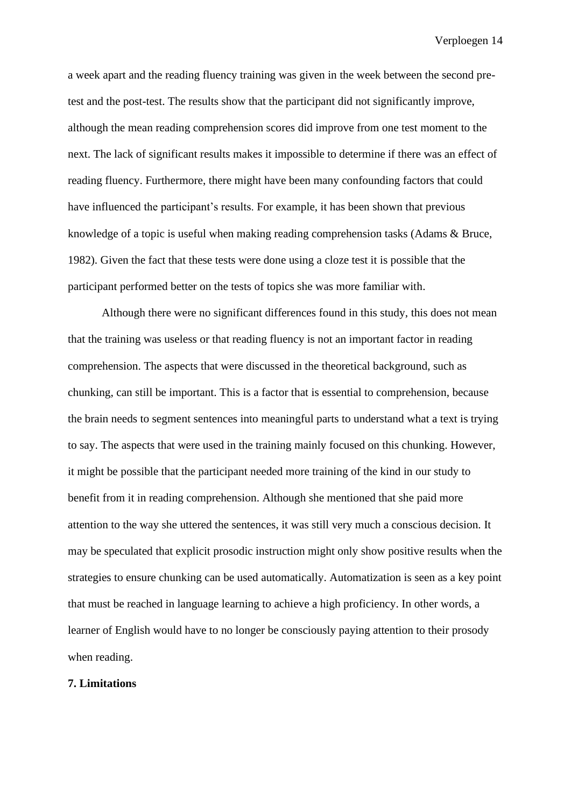a week apart and the reading fluency training was given in the week between the second pretest and the post-test. The results show that the participant did not significantly improve, although the mean reading comprehension scores did improve from one test moment to the next. The lack of significant results makes it impossible to determine if there was an effect of reading fluency. Furthermore, there might have been many confounding factors that could have influenced the participant's results. For example, it has been shown that previous knowledge of a topic is useful when making reading comprehension tasks (Adams & Bruce, 1982). Given the fact that these tests were done using a cloze test it is possible that the participant performed better on the tests of topics she was more familiar with.

Although there were no significant differences found in this study, this does not mean that the training was useless or that reading fluency is not an important factor in reading comprehension. The aspects that were discussed in the theoretical background, such as chunking, can still be important. This is a factor that is essential to comprehension, because the brain needs to segment sentences into meaningful parts to understand what a text is trying to say. The aspects that were used in the training mainly focused on this chunking. However, it might be possible that the participant needed more training of the kind in our study to benefit from it in reading comprehension. Although she mentioned that she paid more attention to the way she uttered the sentences, it was still very much a conscious decision. It may be speculated that explicit prosodic instruction might only show positive results when the strategies to ensure chunking can be used automatically. Automatization is seen as a key point that must be reached in language learning to achieve a high proficiency. In other words, a learner of English would have to no longer be consciously paying attention to their prosody when reading.

### <span id="page-13-0"></span>**7. Limitations**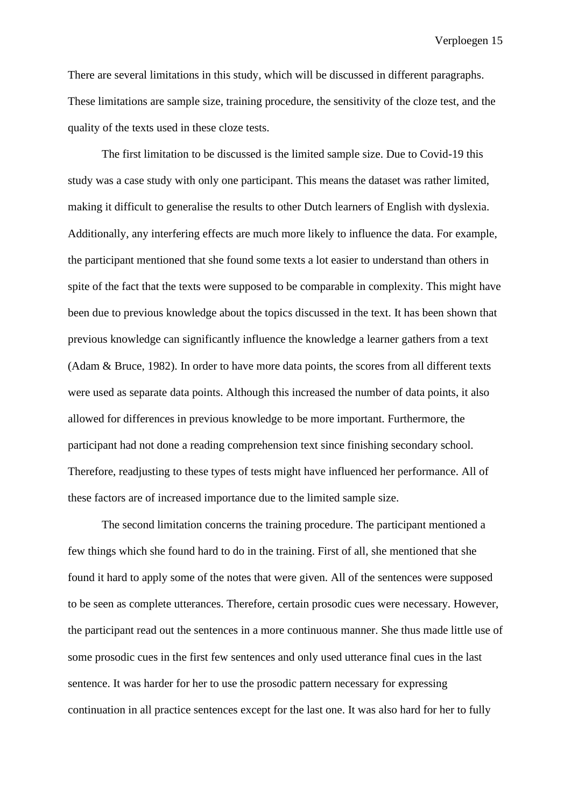There are several limitations in this study, which will be discussed in different paragraphs. These limitations are sample size, training procedure, the sensitivity of the cloze test, and the quality of the texts used in these cloze tests.

The first limitation to be discussed is the limited sample size. Due to Covid-19 this study was a case study with only one participant. This means the dataset was rather limited, making it difficult to generalise the results to other Dutch learners of English with dyslexia. Additionally, any interfering effects are much more likely to influence the data. For example, the participant mentioned that she found some texts a lot easier to understand than others in spite of the fact that the texts were supposed to be comparable in complexity. This might have been due to previous knowledge about the topics discussed in the text. It has been shown that previous knowledge can significantly influence the knowledge a learner gathers from a text (Adam & Bruce, 1982). In order to have more data points, the scores from all different texts were used as separate data points. Although this increased the number of data points, it also allowed for differences in previous knowledge to be more important. Furthermore, the participant had not done a reading comprehension text since finishing secondary school. Therefore, readjusting to these types of tests might have influenced her performance. All of these factors are of increased importance due to the limited sample size.

The second limitation concerns the training procedure. The participant mentioned a few things which she found hard to do in the training. First of all, she mentioned that she found it hard to apply some of the notes that were given. All of the sentences were supposed to be seen as complete utterances. Therefore, certain prosodic cues were necessary. However, the participant read out the sentences in a more continuous manner. She thus made little use of some prosodic cues in the first few sentences and only used utterance final cues in the last sentence. It was harder for her to use the prosodic pattern necessary for expressing continuation in all practice sentences except for the last one. It was also hard for her to fully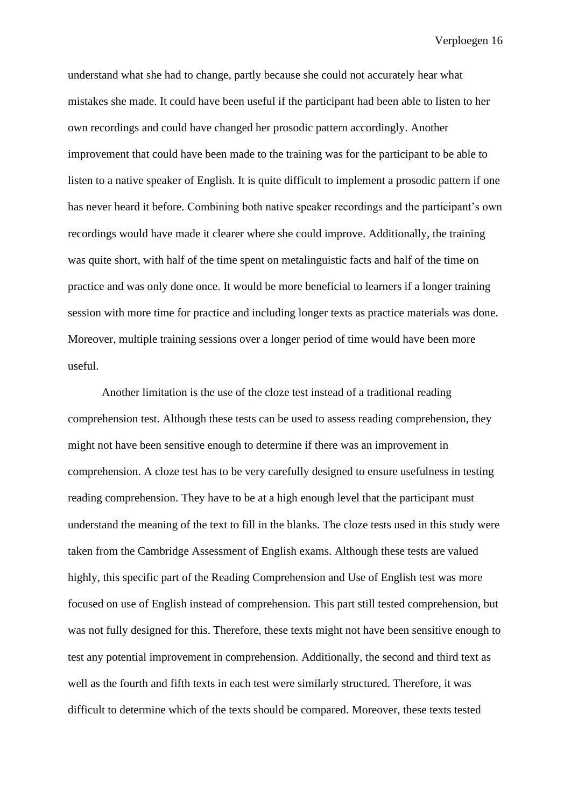understand what she had to change, partly because she could not accurately hear what mistakes she made. It could have been useful if the participant had been able to listen to her own recordings and could have changed her prosodic pattern accordingly. Another improvement that could have been made to the training was for the participant to be able to listen to a native speaker of English. It is quite difficult to implement a prosodic pattern if one has never heard it before. Combining both native speaker recordings and the participant's own recordings would have made it clearer where she could improve. Additionally, the training was quite short, with half of the time spent on metalinguistic facts and half of the time on practice and was only done once. It would be more beneficial to learners if a longer training session with more time for practice and including longer texts as practice materials was done. Moreover, multiple training sessions over a longer period of time would have been more useful.

Another limitation is the use of the cloze test instead of a traditional reading comprehension test. Although these tests can be used to assess reading comprehension, they might not have been sensitive enough to determine if there was an improvement in comprehension. A cloze test has to be very carefully designed to ensure usefulness in testing reading comprehension. They have to be at a high enough level that the participant must understand the meaning of the text to fill in the blanks. The cloze tests used in this study were taken from the Cambridge Assessment of English exams. Although these tests are valued highly, this specific part of the Reading Comprehension and Use of English test was more focused on use of English instead of comprehension. This part still tested comprehension, but was not fully designed for this. Therefore, these texts might not have been sensitive enough to test any potential improvement in comprehension. Additionally, the second and third text as well as the fourth and fifth texts in each test were similarly structured. Therefore, it was difficult to determine which of the texts should be compared. Moreover, these texts tested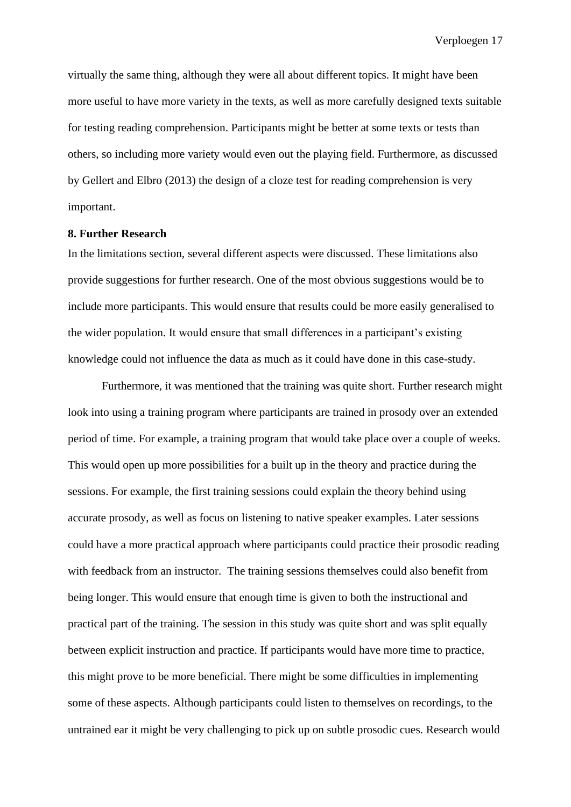virtually the same thing, although they were all about different topics. It might have been more useful to have more variety in the texts, as well as more carefully designed texts suitable for testing reading comprehension. Participants might be better at some texts or tests than others, so including more variety would even out the playing field. Furthermore, as discussed by Gellert and Elbro (2013) the design of a cloze test for reading comprehension is very important.

#### <span id="page-16-0"></span>**8. Further Research**

In the limitations section, several different aspects were discussed. These limitations also provide suggestions for further research. One of the most obvious suggestions would be to include more participants. This would ensure that results could be more easily generalised to the wider population. It would ensure that small differences in a participant's existing knowledge could not influence the data as much as it could have done in this case-study.

Furthermore, it was mentioned that the training was quite short. Further research might look into using a training program where participants are trained in prosody over an extended period of time. For example, a training program that would take place over a couple of weeks. This would open up more possibilities for a built up in the theory and practice during the sessions. For example, the first training sessions could explain the theory behind using accurate prosody, as well as focus on listening to native speaker examples. Later sessions could have a more practical approach where participants could practice their prosodic reading with feedback from an instructor. The training sessions themselves could also benefit from being longer. This would ensure that enough time is given to both the instructional and practical part of the training. The session in this study was quite short and was split equally between explicit instruction and practice. If participants would have more time to practice, this might prove to be more beneficial. There might be some difficulties in implementing some of these aspects. Although participants could listen to themselves on recordings, to the untrained ear it might be very challenging to pick up on subtle prosodic cues. Research would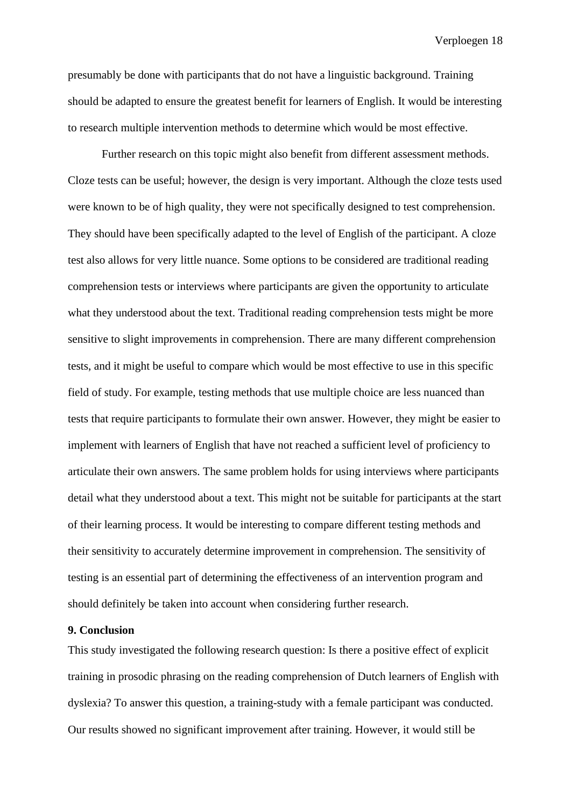presumably be done with participants that do not have a linguistic background. Training should be adapted to ensure the greatest benefit for learners of English. It would be interesting to research multiple intervention methods to determine which would be most effective.

Further research on this topic might also benefit from different assessment methods. Cloze tests can be useful; however, the design is very important. Although the cloze tests used were known to be of high quality, they were not specifically designed to test comprehension. They should have been specifically adapted to the level of English of the participant. A cloze test also allows for very little nuance. Some options to be considered are traditional reading comprehension tests or interviews where participants are given the opportunity to articulate what they understood about the text. Traditional reading comprehension tests might be more sensitive to slight improvements in comprehension. There are many different comprehension tests, and it might be useful to compare which would be most effective to use in this specific field of study. For example, testing methods that use multiple choice are less nuanced than tests that require participants to formulate their own answer. However, they might be easier to implement with learners of English that have not reached a sufficient level of proficiency to articulate their own answers. The same problem holds for using interviews where participants detail what they understood about a text. This might not be suitable for participants at the start of their learning process. It would be interesting to compare different testing methods and their sensitivity to accurately determine improvement in comprehension. The sensitivity of testing is an essential part of determining the effectiveness of an intervention program and should definitely be taken into account when considering further research.

## <span id="page-17-0"></span>**9. Conclusion**

This study investigated the following research question: Is there a positive effect of explicit training in prosodic phrasing on the reading comprehension of Dutch learners of English with dyslexia? To answer this question, a training-study with a female participant was conducted. Our results showed no significant improvement after training. However, it would still be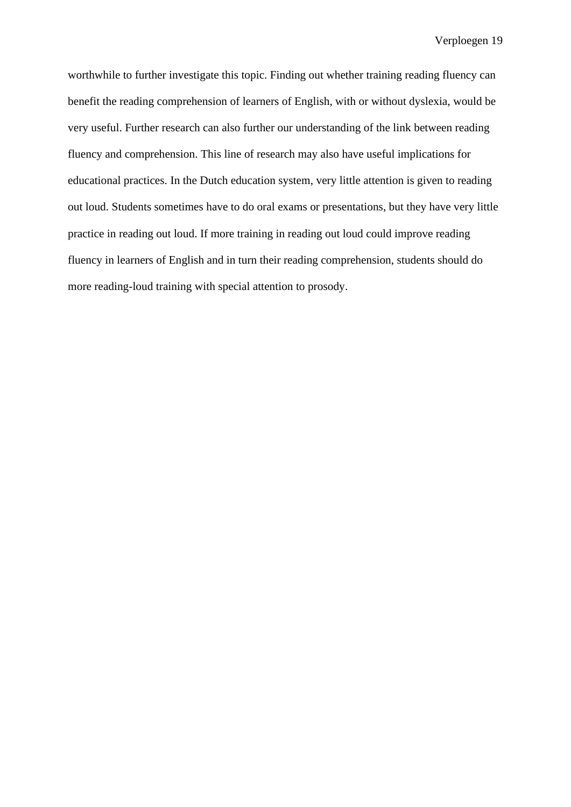worthwhile to further investigate this topic. Finding out whether training reading fluency can benefit the reading comprehension of learners of English, with or without dyslexia, would be very useful. Further research can also further our understanding of the link between reading fluency and comprehension. This line of research may also have useful implications for educational practices. In the Dutch education system, very little attention is given to reading out loud. Students sometimes have to do oral exams or presentations, but they have very little practice in reading out loud. If more training in reading out loud could improve reading fluency in learners of English and in turn their reading comprehension, students should do more reading-loud training with special attention to prosody.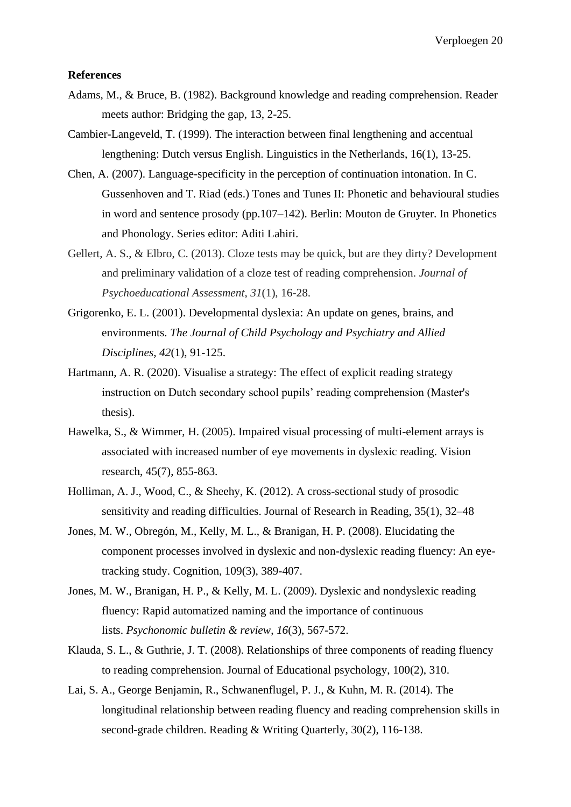### <span id="page-19-0"></span>**References**

- Adams, M., & Bruce, B. (1982). Background knowledge and reading comprehension. Reader meets author: Bridging the gap, 13, 2-25.
- Cambier-Langeveld, T. (1999). The interaction between final lengthening and accentual lengthening: Dutch versus English. Linguistics in the Netherlands, 16(1), 13-25.
- Chen, A. (2007). Language-specificity in the perception of continuation intonation. In C. Gussenhoven and T. Riad (eds.) Tones and Tunes II: Phonetic and behavioural studies in word and sentence prosody (pp.107–142). Berlin: Mouton de Gruyter. In Phonetics and Phonology. Series editor: Aditi Lahiri.
- Gellert, A. S., & Elbro, C. (2013). Cloze tests may be quick, but are they dirty? Development and preliminary validation of a cloze test of reading comprehension. *Journal of Psychoeducational Assessment*, *31*(1), 16-28.
- Grigorenko, E. L. (2001). Developmental dyslexia: An update on genes, brains, and environments. *The Journal of Child Psychology and Psychiatry and Allied Disciplines*, *42*(1), 91-125.
- Hartmann, A. R. (2020). Visualise a strategy: The effect of explicit reading strategy instruction on Dutch secondary school pupils' reading comprehension (Master's thesis).
- Hawelka, S., & Wimmer, H. (2005). Impaired visual processing of multi-element arrays is associated with increased number of eye movements in dyslexic reading. Vision research, 45(7), 855-863.
- Holliman, A. J., Wood, C., & Sheehy, K. (2012). A cross-sectional study of prosodic sensitivity and reading difficulties. Journal of Research in Reading, 35(1), 32–48
- Jones, M. W., Obregón, M., Kelly, M. L., & Branigan, H. P. (2008). Elucidating the component processes involved in dyslexic and non-dyslexic reading fluency: An eyetracking study. Cognition, 109(3), 389-407.
- Jones, M. W., Branigan, H. P., & Kelly, M. L. (2009). Dyslexic and nondyslexic reading fluency: Rapid automatized naming and the importance of continuous lists. *Psychonomic bulletin & review*, *16*(3), 567-572.
- Klauda, S. L., & Guthrie, J. T. (2008). Relationships of three components of reading fluency to reading comprehension. Journal of Educational psychology, 100(2), 310.
- Lai, S. A., George Benjamin, R., Schwanenflugel, P. J., & Kuhn, M. R. (2014). The longitudinal relationship between reading fluency and reading comprehension skills in second-grade children. Reading & Writing Quarterly, 30(2), 116-138.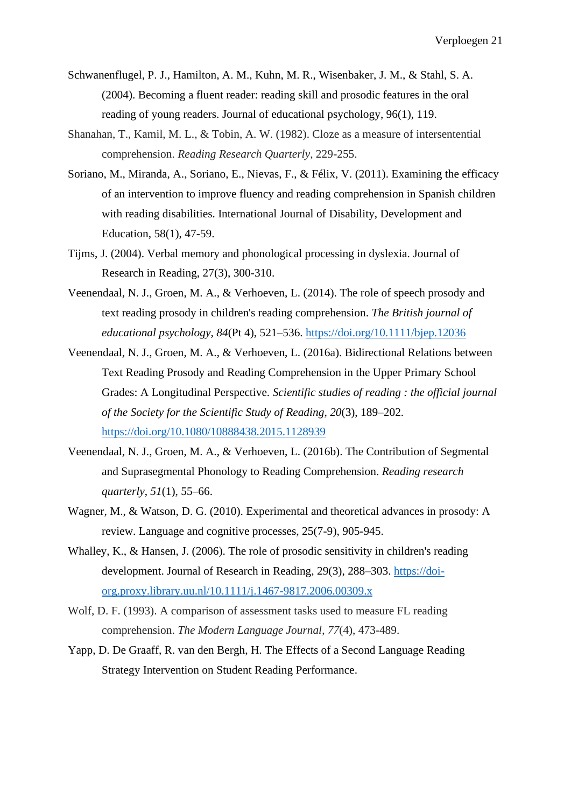- Schwanenflugel, P. J., Hamilton, A. M., Kuhn, M. R., Wisenbaker, J. M., & Stahl, S. A. (2004). Becoming a fluent reader: reading skill and prosodic features in the oral reading of young readers. Journal of educational psychology, 96(1), 119.
- Shanahan, T., Kamil, M. L., & Tobin, A. W. (1982). Cloze as a measure of intersentential comprehension. *Reading Research Quarterly*, 229-255.
- Soriano, M., Miranda, A., Soriano, E., Nievas, F., & Félix, V. (2011). Examining the efficacy of an intervention to improve fluency and reading comprehension in Spanish children with reading disabilities. International Journal of Disability, Development and Education, 58(1), 47-59.
- Tijms, J. (2004). Verbal memory and phonological processing in dyslexia. Journal of Research in Reading, 27(3), 300-310.
- Veenendaal, N. J., Groen, M. A., & Verhoeven, L. (2014). The role of speech prosody and text reading prosody in children's reading comprehension. *The British journal of educational psychology*, *84*(Pt 4), 521–536.<https://doi.org/10.1111/bjep.12036>
- Veenendaal, N. J., Groen, M. A., & Verhoeven, L. (2016a). Bidirectional Relations between Text Reading Prosody and Reading Comprehension in the Upper Primary School Grades: A Longitudinal Perspective. *Scientific studies of reading : the official journal of the Society for the Scientific Study of Reading*, *20*(3), 189–202. <https://doi.org/10.1080/10888438.2015.1128939>
- Veenendaal, N. J., Groen, M. A., & Verhoeven, L. (2016b). The Contribution of Segmental and Suprasegmental Phonology to Reading Comprehension. *Reading research quarterly*, *51*(1), 55–66.
- Wagner, M., & Watson, D. G. (2010). Experimental and theoretical advances in prosody: A review. Language and cognitive processes, 25(7-9), 905-945.
- Whalley, K., & Hansen, J. (2006). The role of prosodic sensitivity in children's reading development. Journal of Research in Reading, 29(3), 288–303. [https://doi](https://doi-org.proxy.library.uu.nl/10.1111/j.1467-9817.2006.00309.x)[org.proxy.library.uu.nl/10.1111/j.1467-9817.2006.00309.x](https://doi-org.proxy.library.uu.nl/10.1111/j.1467-9817.2006.00309.x)
- Wolf, D. F. (1993). A comparison of assessment tasks used to measure FL reading comprehension. *The Modern Language Journal*, *77*(4), 473-489.
- Yapp, D. De Graaff, R. van den Bergh, H. The Effects of a Second Language Reading Strategy Intervention on Student Reading Performance.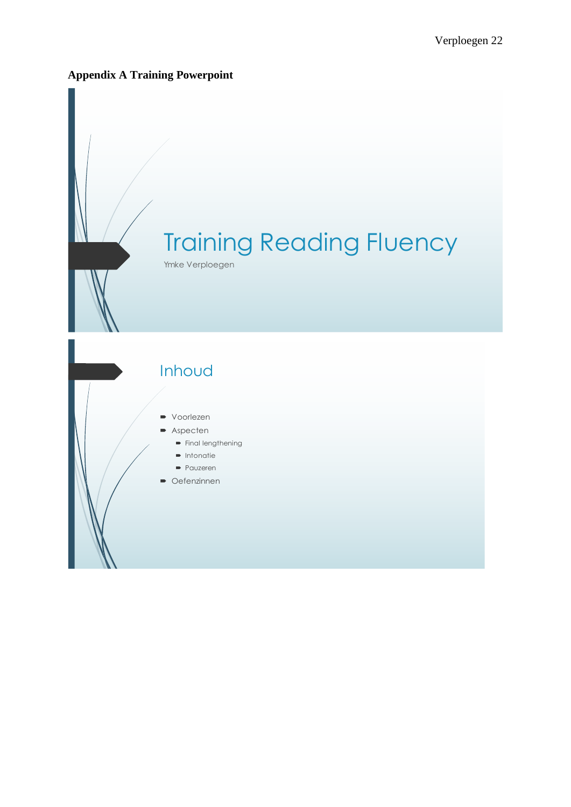## <span id="page-21-0"></span>**Appendix A Training Powerpoint**

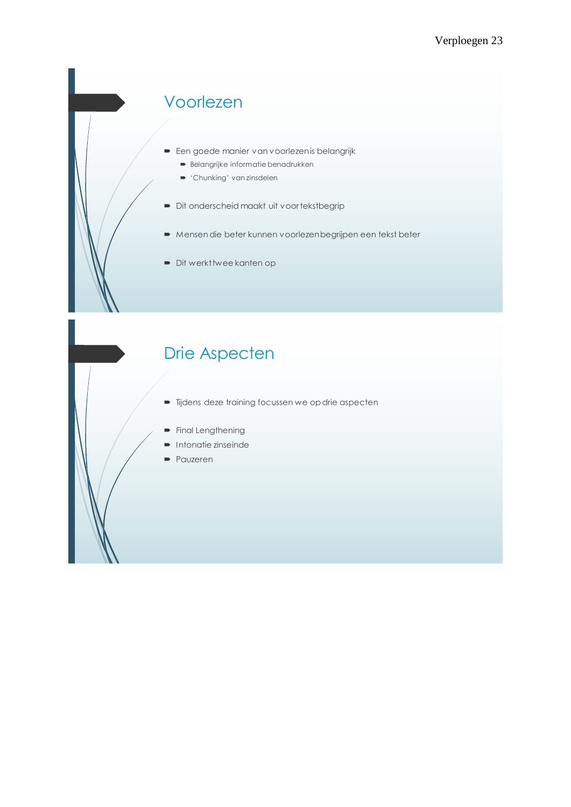# Voorlezen

- ∍
	- ∍
	- ∍
- ∍
- ∍
- ∍

## Drie Aspecten

- ∍
- ∍
- ∍
- Pauzeren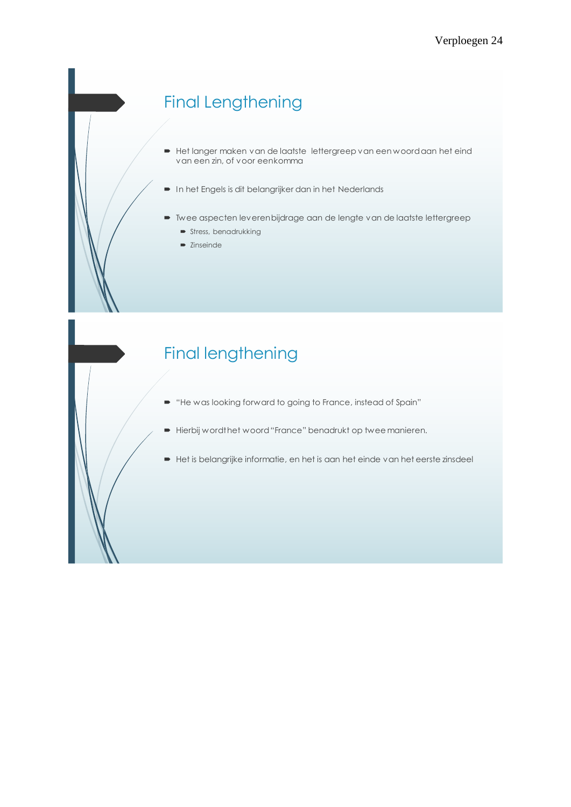# **Final Lengthening**

- Het langer maken van de laatste lettergreep van een woord aan het eind P van een zin, of voor eenkomma
- ∍
- ∍ ∍
	- ∍

## **Final lengthening**

- ∍
- ∍
- Het is belangrijke informatie, en het is aan het einde van het eerste zinsdeel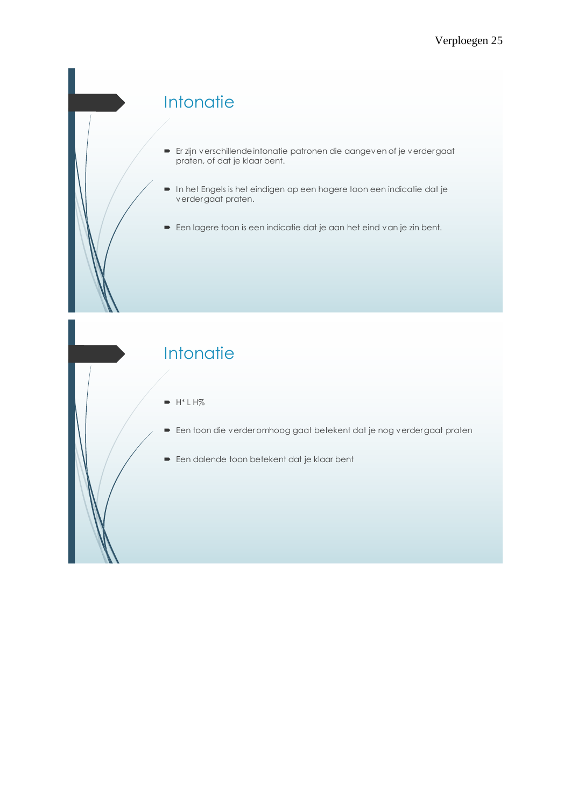# Intonatie

- E<br>p
- ∍ verdergaat praten.
- ∍

# Intonatie

- ∍
- ∍
- Een dalende toon betekent dat je klaar bent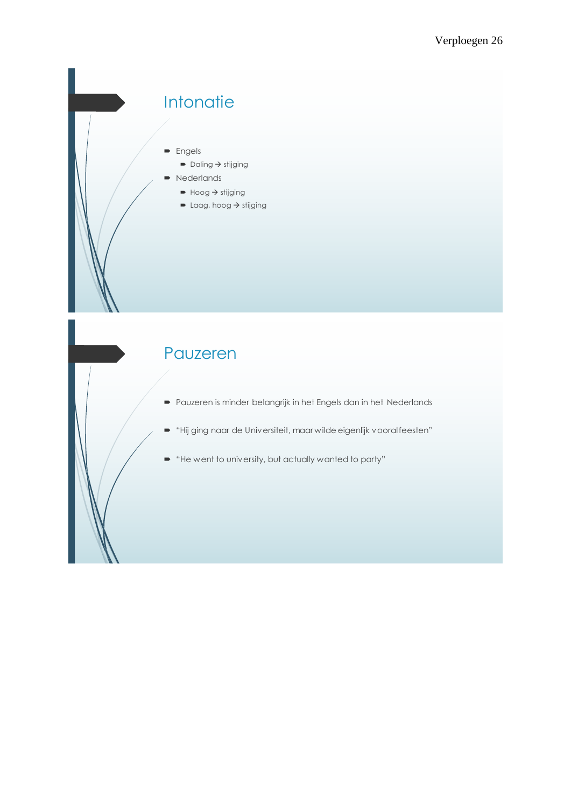

## Pauzeren

- ∍
- ∍
- "He went to university, but actually wanted to party"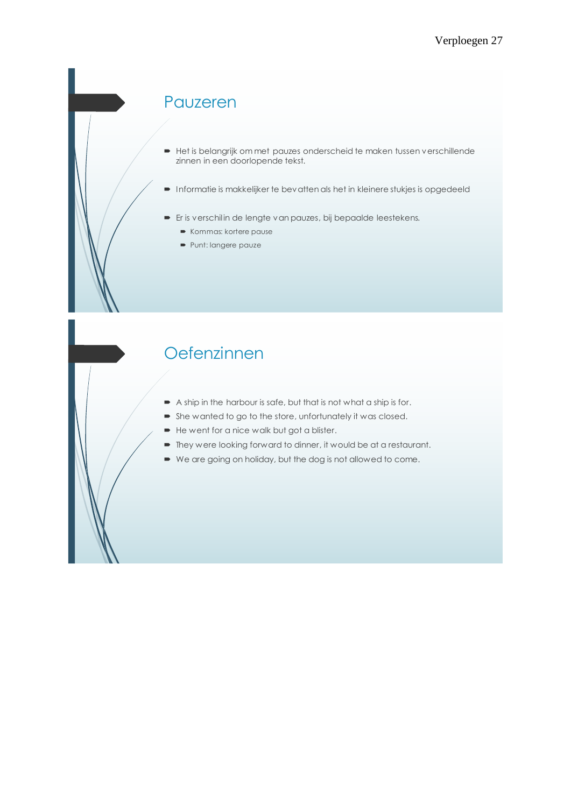## Pauzeren

- ∍ zinnen in een doorlopende tekst.
- ∍
- ∍
	- ∍
	- ∍

## Oefenzinnen

- ∍
- ∍
- ∍
- ∍
- We are going on holiday, but the dog is not allowed to come.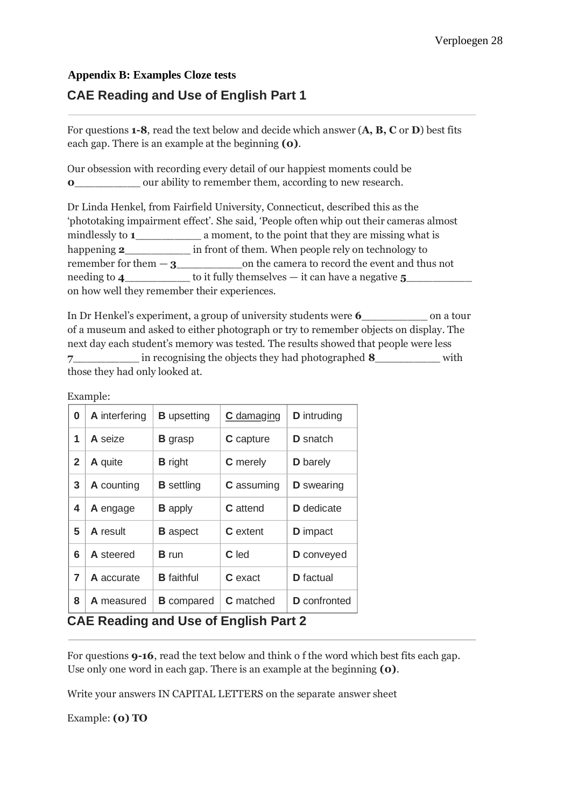## <span id="page-27-0"></span>**Appendix B: Examples Cloze tests**

## **CAE Reading and Use of English Part 1**

For questions **1-8**, read the text below and decide which answer (**А, В, C** or **D**) best fits each gap. There is an example at the beginning **(0)**.

Our obsession with recording every detail of our happiest moments could be **<sup>0</sup>**\_\_\_\_\_\_\_\_\_\_ our ability to remember them, according to new research.

Dr Linda Henkel, from Fairfield University, Connecticut, described this as the 'phototaking impairment effect'. She said, 'People often whip out their cameras almost mindlessly to **<sup>1</sup>**\_\_\_\_\_\_\_\_\_\_ a moment, to the point that they are missing what is happening **2**\_\_\_\_\_\_\_\_\_\_\_\_ in front of them. When people rely on technology to remember for them — **3**\_\_\_\_\_\_\_\_\_\_on the camera to record the event and thus not needing to **4**\_\_\_\_\_\_\_\_\_\_ to it fully themselves — it can have a negative **5**\_\_\_\_\_\_\_\_\_\_ on how well they remember their experiences.

In Dr Henkel's experiment, a group of university students were **6**\_\_\_\_\_\_\_\_\_\_ on a tour of a museum and asked to either photograph or try to remember objects on display. The next day each student's memory was tested. The results showed that people were less **7**\_\_\_\_\_\_\_\_\_\_ in recognising the objects they had photographed **8**\_\_\_\_\_\_\_\_\_\_ with those they had only looked at.

### Example:

| 0              | A interfering    | <b>B</b> upsetting | C damaging        | <b>D</b> intruding  |
|----------------|------------------|--------------------|-------------------|---------------------|
| 1              | A seize          | <b>B</b> grasp     | C capture         | <b>D</b> snatch     |
| $\overline{2}$ | A quite          | <b>B</b> right     | <b>C</b> merely   | <b>D</b> barely     |
| 3              | A counting       | <b>B</b> settling  | <b>C</b> assuming | <b>D</b> swearing   |
| 4              | A engage         | <b>B</b> apply     | <b>C</b> attend   | D dedicate          |
| 5              | A result         | <b>B</b> aspect    | <b>C</b> extent   | <b>D</b> impact     |
| 6              | <b>A</b> steered | <b>B</b> run       | C led             | D conveyed          |
| 7              | A accurate       | <b>B</b> faithful  | C exact           | <b>D</b> factual    |
| 8              | A measured       | <b>B</b> compared  | <b>C</b> matched  | <b>D</b> confronted |

## **CAE Reading and Use of English Part 2**

For questions **9-16**, read the text below and think o f the word which best fits each gap. Use only one word in each gap. There is an example at the beginning **(0)**.

Write your answers IN CAPITAL LETTERS on the separate answer sheet

Example: **(0) TO**